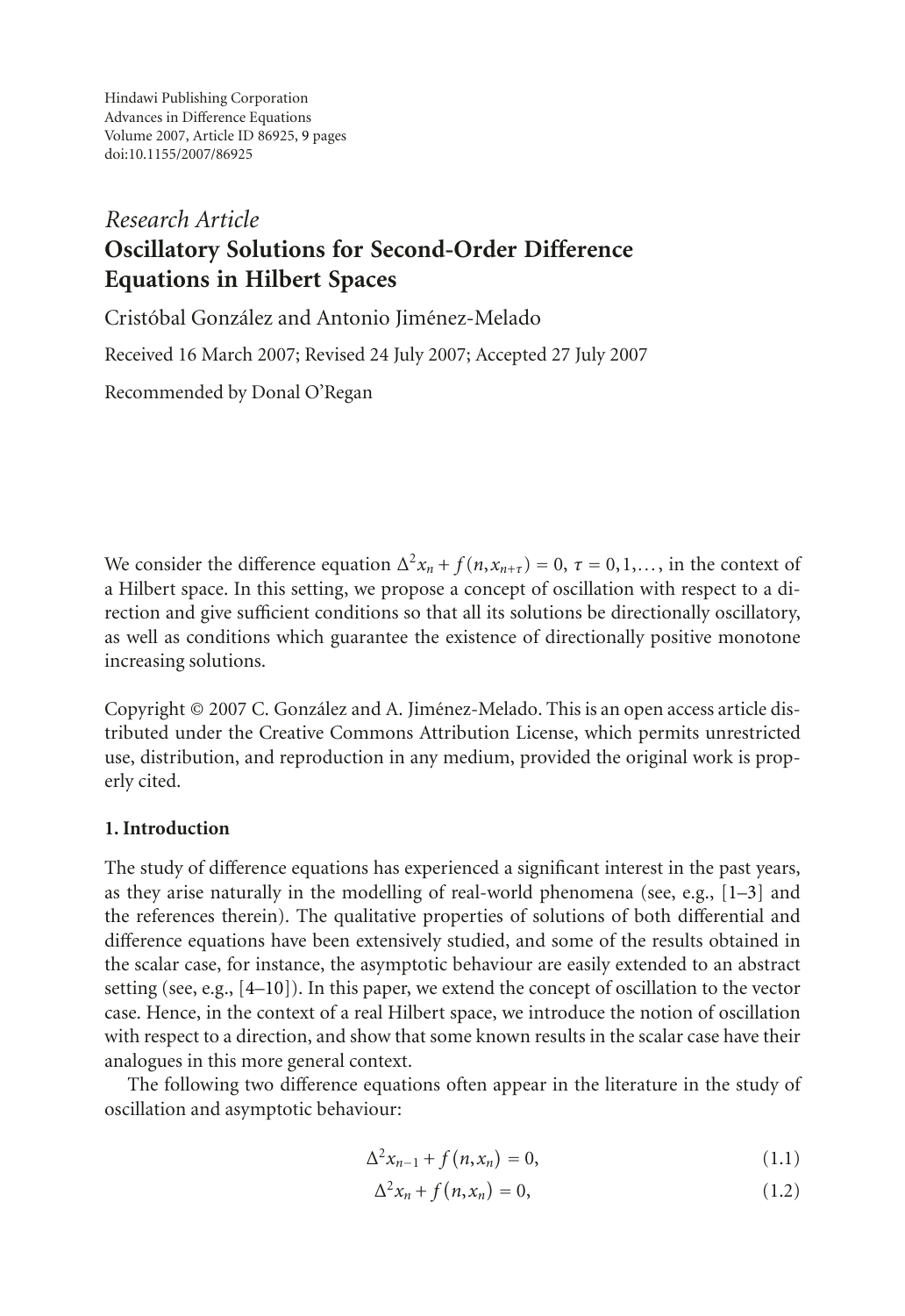Hindawi Publishing Corporation Advances in Difference Equations Volume 2007, Article ID 86925, [9](#page-7-0) pages doi:10.1155/2007/86925

# *Research Article* **Oscillatory Solutions for Second-Order Difference Equations in Hilbert Spaces**

Cristóbal González and Antonio Jiménez-Melado

Received 16 March 2007; Revised 24 July 2007; Accepted 27 July 2007

Recommended by Donal O'Regan

We consider the difference equation  $\Delta^2 x_n + f(n, x_{n+\tau}) = 0$ ,  $\tau = 0, 1, \ldots$ , in the context of original version of oscillation with respect to a dia Hilbert space. In this setting, we propose a concept of oscillation with respect to a direction and give sufficient conditions so that all its solutions be directionally oscillatory, as well as conditions which guarantee the existence of directionally positive monotone increasing solutions.

Copyright © 2007 C. González and A. Jiménez-Melado. This is an open access article distributed under the Creative Commons Attribution License, which permits unrestricted use, distribution, and reproduction in any medium, provided the original work is properly cited.

## **1. Introduction**

The study of difference equations has experienced a significant interest in the past years, as they arise naturally in the modelling of real-world phenomena (see, e.g.,  $[1-3]$  $[1-3]$  and the references therein). The qualitative properties of solutions of both differential and difference equations have been extensively studied, and some of the results obtained in the scalar case, for instance, the asymptotic behaviour are easily extended to an abstract setting (see, e.g., [\[4](#page-7-3)[–10\]](#page-8-0)). In this paper, we extend the concept of oscillation to the vector case. Hence, in the context of a real Hilbert space, we introduce the notion of oscillation with respect to a direction, and show that some known results in the scalar case have their analogues in this more general context.

The following two difference equations often appear in the literature in the study of oscillation and asymptotic behaviour:

$$
\Delta^2 x_{n-1} + f(n, x_n) = 0, \tag{1.1}
$$

<span id="page-0-1"></span><span id="page-0-0"></span>
$$
\Delta^2 x_n + f(n, x_n) = 0,\tag{1.2}
$$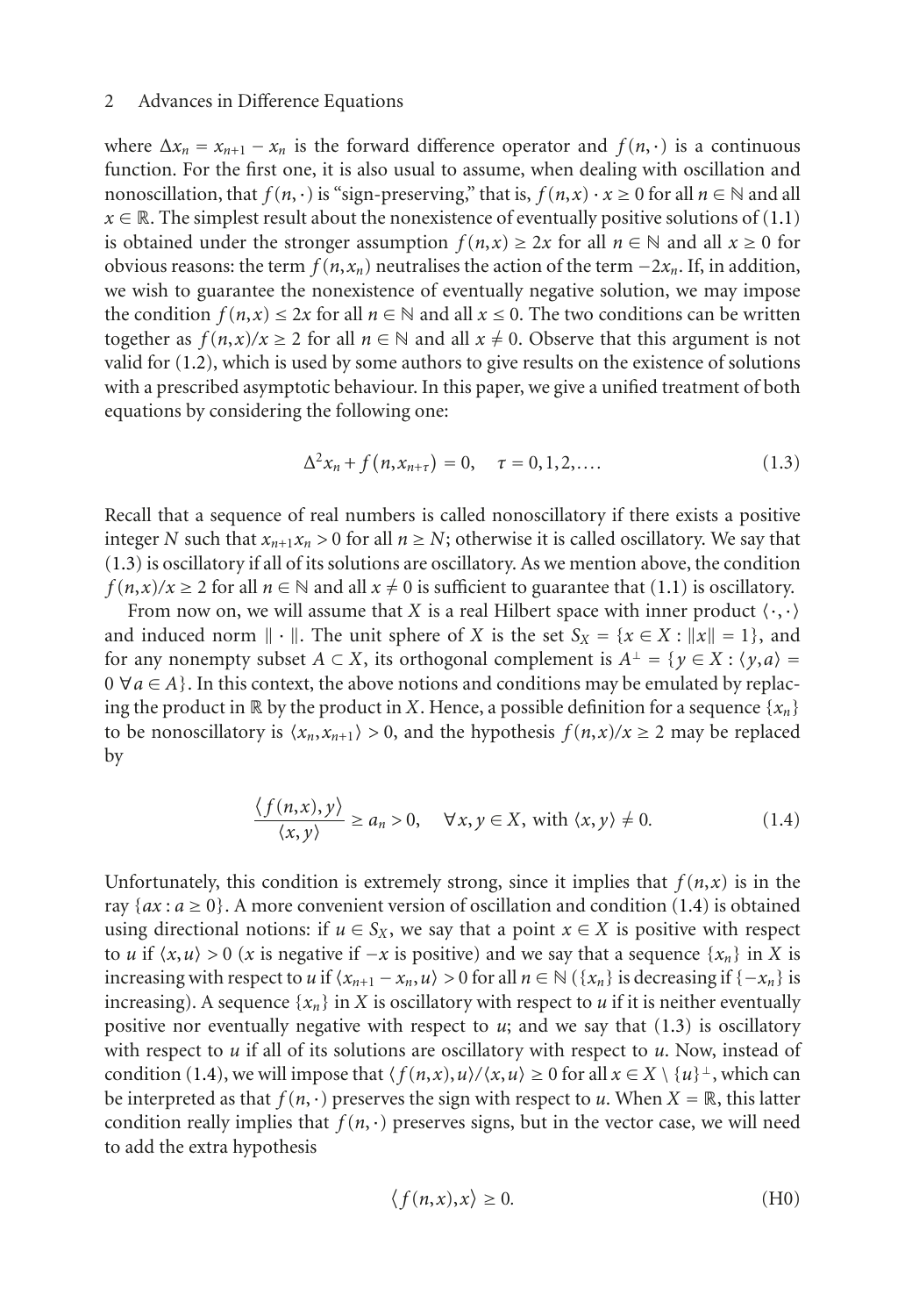where  $\Delta x_n = x_{n+1} - x_n$  is the forward difference operator and  $f(n, \cdot)$  is a continuous function. For the first one, it is also usual to assume, when dealing with oscillation and nonoscillation, that  $f(n, \cdot)$  is "sign-preserving," that is,  $f(n, x) \cdot x \ge 0$  for all  $n \in \mathbb{N}$  and all  $x \in \mathbb{R}$ . The simplest result about the nonexistence of eventually positive solutions of [\(1.1\)](#page-0-0) is obtained under the stronger assumption  $f(n,x) \ge 2x$  for all  $n \in \mathbb{N}$  and all  $x \ge 0$  for obvious reasons: the term  $f(n, x_n)$  neutralises the action of the term  $-2x_n$ . If, in addition, we wish to guarantee the nonexistence of eventually negative solution, we may impose the condition  $f(n, x) \leq 2x$  for all  $n \in \mathbb{N}$  and all  $x \leq 0$ . The two conditions can be written together as  $f(n,x)/x \ge 2$  for all  $n \in \mathbb{N}$  and all  $x \ne 0$ . Observe that this argument is not valid for [\(1.2\)](#page-0-1), which is used by some authors to give results on the existence of solutions with a prescribed asymptotic behaviour. In this paper, we give a unified treatment of both equations by considering the following one:

<span id="page-1-0"></span>
$$
\Delta^2 x_n + f(n, x_{n+\tau}) = 0, \quad \tau = 0, 1, 2, \dots
$$
 (1.3)

Recall that a sequence of real numbers is called nonoscillatory if there exists a positive integer *N* such that  $x_{n+1}x_n > 0$  for all  $n \geq N$ ; otherwise it is called oscillatory. We say that [\(1.3\)](#page-1-0) is oscillatory if all of its solutions are oscillatory. As we mention above, the condition *f* (*n*,*x*)/*x* ≥ 2 for all *n* ∈ N and all *x* ≠ 0 is sufficient to guarantee that [\(1.1\)](#page-0-0) is oscillatory.

From now on, we will assume that *X* is a real Hilbert space with inner product  $\langle \cdot, \cdot \rangle$ and induced norm  $\|\cdot\|$ . The unit sphere of *X* is the set  $S_X = \{x \in X : ||x|| = 1\}$ , and for any nonempty subset  $A \subset X$ , its orthogonal complement is  $A^{\perp} = \{y \in X : \langle y, a \rangle =$  $0 \forall a \in A$ . In this context, the above notions and conditions may be emulated by replacing the product in  $\mathbb{R}$  by the product in *X*. Hence, a possible definition for a sequence  $\{x_n\}$ to be nonoscillatory is  $\langle x_n, x_{n+1} \rangle > 0$ , and the hypothesis  $f(n,x)/x \ge 2$  may be replaced by

<span id="page-1-1"></span>
$$
\frac{\langle f(n,x), y \rangle}{\langle x, y \rangle} \ge a_n > 0, \quad \forall x, y \in X, \text{ with } \langle x, y \rangle \ne 0.
$$
 (1.4)

Unfortunately, this condition is extremely strong, since it implies that  $f(n, x)$  is in the ray  $\{ax : a \ge 0\}$ . A more convenient version of oscillation and condition [\(1.4\)](#page-1-1) is obtained using directional notions: if  $u \in S_X$ , we say that a point  $x \in X$  is positive with respect to *u* if  $\langle x, u \rangle > 0$  (*x* is negative if  $-x$  is positive) and we say that a sequence  $\{x_n\}$  in *X* is increasing with respect to *u* if  $\langle x_{n+1} - x_n, u \rangle > 0$  for all  $n \in \mathbb{N}$  ( $\{x_n\}$  is decreasing if  $\{-x_n\}$  is increasing). A sequence  $\{x_n\}$  in *X* is oscillatory with respect to *u* if it is neither eventually positive nor eventually negative with respect to  $u$ ; and we say that  $(1.3)$  is oscillatory with respect to *u* if all of its solutions are oscillatory with respect to *u*. Now, instead of condition [\(1.4\)](#page-1-1), we will impose that  $\langle f(n,x), u \rangle / \langle x, u \rangle \ge 0$  for all  $x \in X \setminus \{u\}^{\perp}$ , which can be interpreted as that  $f(n, \cdot)$  preserves the sign with respect to *u*. When  $X = \mathbb{R}$ , this latter condition really implies that  $f(n, \cdot)$  preserves signs, but in the vector case, we will need to add the extra hypothesis

<span id="page-1-2"></span>
$$
\langle f(n,x),x \rangle \ge 0. \tag{H0}
$$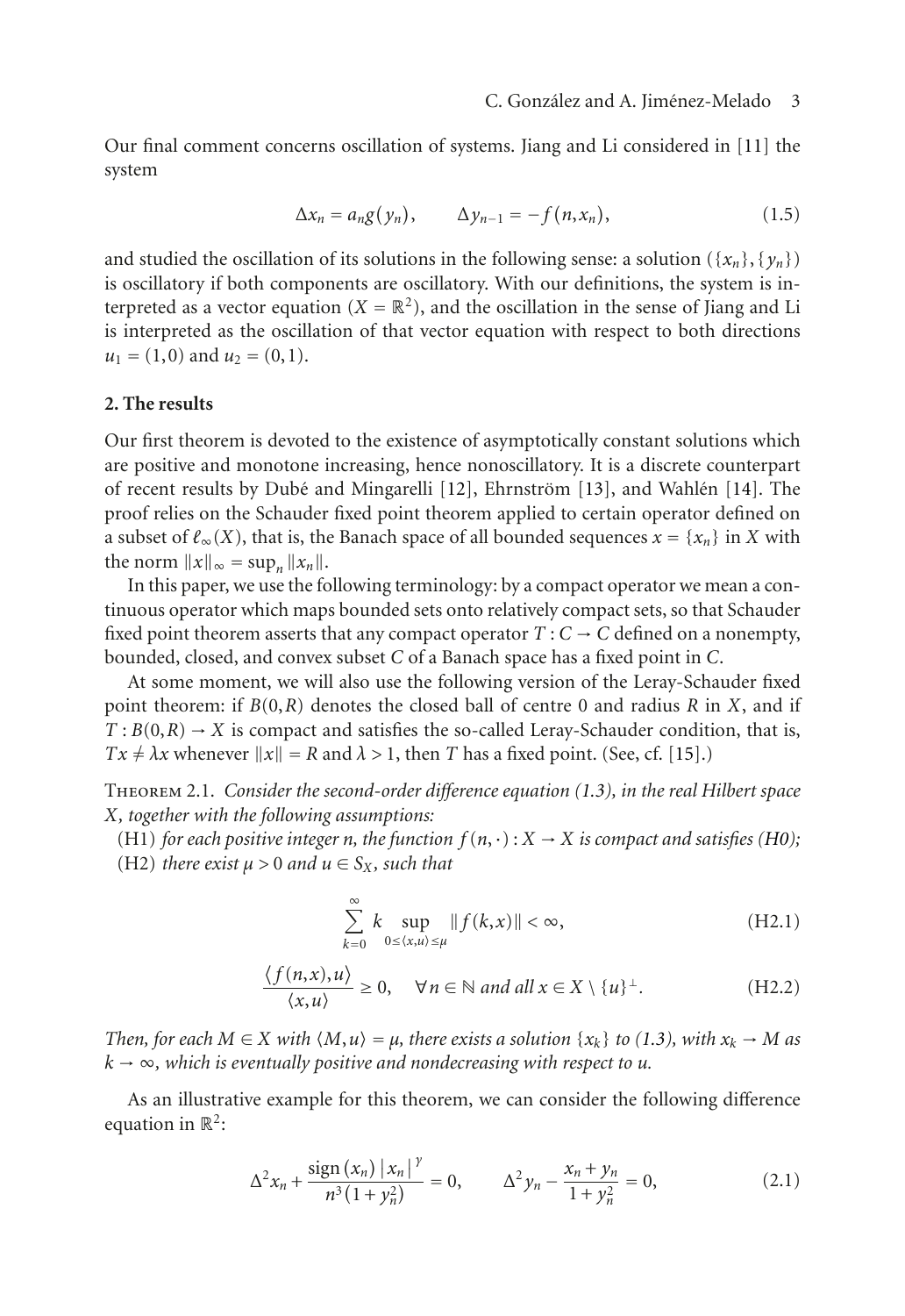Our final comment concerns oscillation of systems. Jiang and Li considered in [\[11](#page-8-1)] the system

$$
\Delta x_n = a_n g(y_n), \qquad \Delta y_{n-1} = -f(n, x_n), \qquad (1.5)
$$

and studied the oscillation of its solutions in the following sense: a solution ({ $x_n$ }, { $y_n$ }) is oscillatory if both components are oscillatory. With our definitions, the system is interpreted as a vector equation  $(X = \mathbb{R}^2)$ , and the oscillation in the sense of Jiang and Li is interpreted as the oscillation of that vector equation with respect to both directions  $u_1 = (1,0)$  and  $u_2 = (0,1)$ .

#### **2. The results**

Our first theorem is devoted to the existence of asymptotically constant solutions which are positive and monotone increasing, hence nonoscillatory. It is a discrete counterpart of recent results by Dubé and Mingarelli [[12\]](#page-8-2), Ehrnström [[13](#page-8-3)], and Wahlén [[14](#page-8-4)]. The proof relies on the Schauder fixed point theorem applied to certain operator defined on a subset of  $\ell_{\infty}(X)$ , that is, the Banach space of all bounded sequences  $x = \{x_n\}$  in *X* with the norm  $||x||_{\infty} = \sup_n ||x_n||$ .

In this paper, we use the following terminology: by a compact operator we mean a continuous operator which maps bounded sets onto relatively compact sets, so that Schauder fixed point theorem asserts that any compact operator  $T: C \to C$  defined on a nonempty, bounded, closed, and convex subset *C* of a Banach space has a fixed point in *C*.

At some moment, we will also use the following version of the Leray-Schauder fixed point theorem: if *B*(0,*R*) denotes the closed ball of centre 0 and radius *R* in *X*, and if  $T: B(0,R) \to X$  is compact and satisfies the so-called Leray-Schauder condition, that is,  $Tx \neq \lambda x$  whenever  $||x|| = R$  and  $\lambda > 1$ , then *T* has a fixed point. (See, cf. [\[15\]](#page-8-5).)

<span id="page-2-3"></span>Theorem 2.1. *Consider the second-order difference equation [\(1.3\)](#page-1-0), in the real Hilbert space X, together with the following assumptions:*

<span id="page-2-1"></span>(H1) *for each positive integer n, the function*  $f(n, \cdot) : X \to X$  *is compact and satisfies* [\(H0\)](#page-1-2); (H2) *there exist*  $\mu > 0$  *and*  $\mu \in S_X$ *, such that* 

<span id="page-2-2"></span>
$$
\sum_{k=0}^{\infty} k \sup_{0 \le \langle x, u \rangle \le \mu} \|f(k, x)\| < \infty,\tag{H2.1}
$$

$$
\frac{\langle f(n,x),u\rangle}{\langle x,u\rangle} \ge 0, \quad \forall n \in \mathbb{N} \text{ and all } x \in X \setminus \{u\}^{\perp}.
$$
 (H2.2)

<span id="page-2-0"></span>*Then, for each*  $M \in X$  *with*  $\langle M, u \rangle = \mu$ *, there exists a solution*  $\{x_k\}$  *to* [\(1.3\)](#page-1-0)*, with*  $x_k \to M$  *as*  $k \to \infty$ , which is eventually positive and nondecreasing with respect to *u*.

As an illustrative example for this theorem, we can consider the following difference equation in  $\mathbb{R}^2$ :

$$
\Delta^2 x_n + \frac{\text{sign}(x_n) |x_n|^{\gamma}}{n^3 (1 + y_n^2)} = 0, \qquad \Delta^2 y_n - \frac{x_n + y_n}{1 + y_n^2} = 0,
$$
\n(2.1)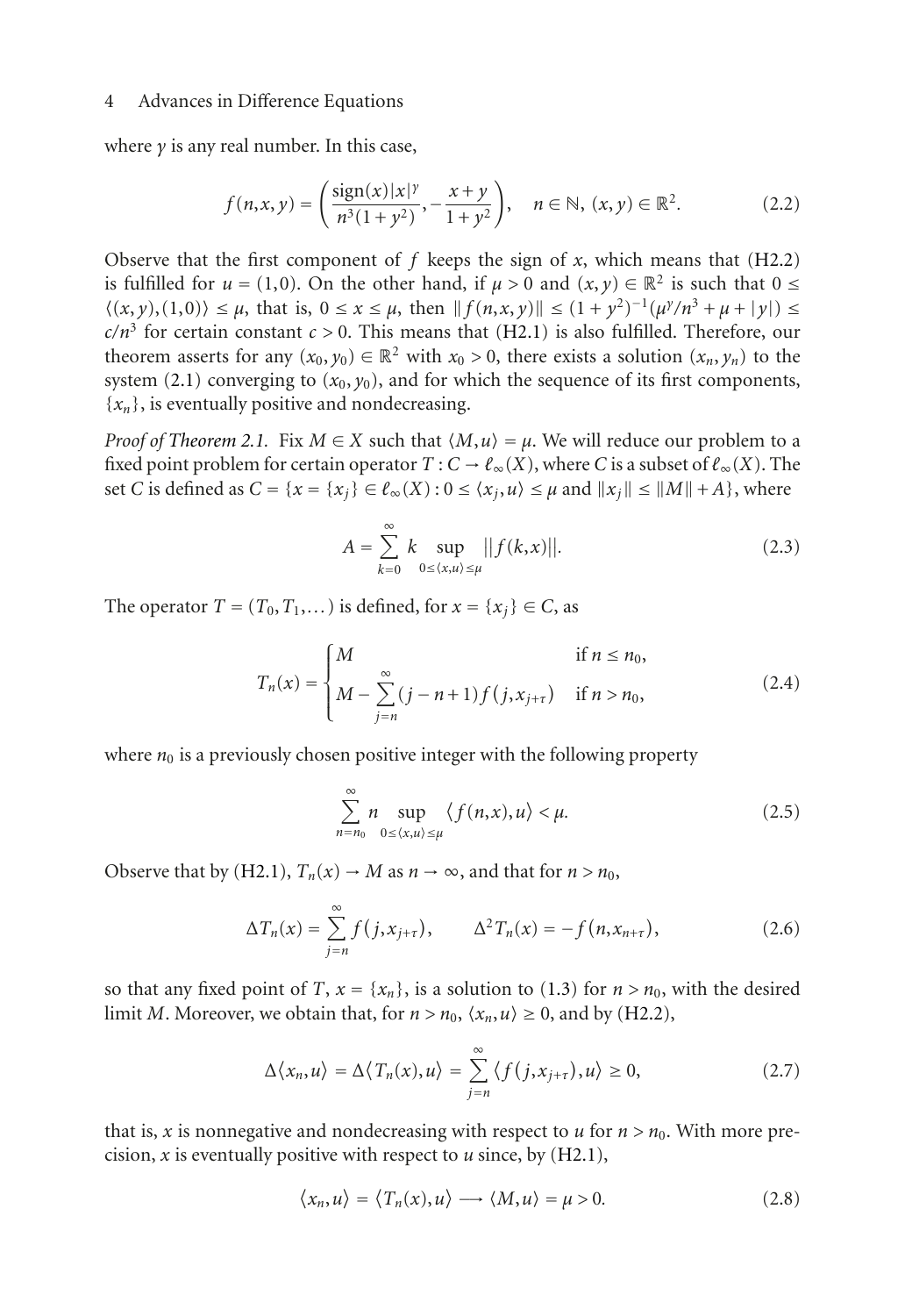where *γ* is any real number. In this case,

$$
f(n, x, y) = \left(\frac{\text{sign}(x)|x|^y}{n^3(1+y^2)}, -\frac{x+y}{1+y^2}\right), \quad n \in \mathbb{N}, (x, y) \in \mathbb{R}^2.
$$
 (2.2)

Observe that the first component of  $f$  keeps the sign of  $x$ , which means that [\(H2.2\)](#page-2-0) is fulfilled for  $u = (1,0)$ . On the other hand, if  $\mu > 0$  and  $(x, y) \in \mathbb{R}^2$  is such that  $0 \leq$  $\langle (x, y), (1, 0) \rangle \leq \mu$ , that is,  $0 \leq x \leq \mu$ , then  $|| f(n, x, y) || \leq (1 + y^2)^{-1} (\mu^y/n^3 + \mu^2 + |y|) \leq$  $c/n<sup>3</sup>$  for certain constant  $c > 0$ . This means that [\(H2.1\)](#page-2-1) is also fulfilled. Therefore, our theorem asserts for any  $(x_0, y_0) \in \mathbb{R}^2$  with  $x_0 > 0$ , there exists a solution  $(x_n, y_n)$  to the system [\(2.1\)](#page-2-2) converging to  $(x_0, y_0)$ , and for which the sequence of its first components,  ${x_n}$ , is eventually positive and nondecreasing.

*Proof of [Theorem 2.1.](#page-2-3)* Fix  $M \in X$  such that  $\langle M, u \rangle = \mu$ . We will reduce our problem to a fixed point problem for certain operator  $T: C \to \ell_{\infty}(X)$ , where *C* is a subset of  $\ell_{\infty}(X)$ . The set *C* is defined as  $C = \{x = \{x_i\} \in \mathcal{C}_{\infty}(X): 0 \le \langle x_i, u \rangle \le \mu \text{ and } ||x_i|| \le ||M|| + A\}$ , where

$$
A = \sum_{k=0}^{\infty} k \sup_{0 \le x, u \ge \mu} ||f(k, x)||. \tag{2.3}
$$

The operator  $T = (T_0, T_1, \dots)$  is defined, for  $x = \{x_j\} \in C$ , as

$$
T_n(x) = \begin{cases} M & \text{if } n \le n_0, \\ M - \sum_{j=n}^{\infty} (j - n + 1) f(j, x_{j+\tau}) & \text{if } n > n_0, \end{cases}
$$
 (2.4)

where  $n_0$  is a previously chosen positive integer with the following property

$$
\sum_{n=n_0}^{\infty} n \sup_{0 \le \langle x, u \rangle \le \mu} \langle f(n, x), u \rangle < \mu.
$$
 (2.5)

Observe that by [\(H2.1\)](#page-2-1),  $T_n(x) \to M$  as  $n \to \infty$ , and that for  $n > n_0$ ,

$$
\Delta T_n(x) = \sum_{j=n}^{\infty} f(j, x_{j+\tau}), \qquad \Delta^2 T_n(x) = -f(n, x_{n+\tau}), \qquad (2.6)
$$

so that any fixed point of *T*,  $x = \{x_n\}$ , is a solution to [\(1.3\)](#page-1-0) for  $n > n_0$ , with the desired limit *M*. Moreover, we obtain that, for  $n > n_0$ ,  $\langle x_n, u \rangle \ge 0$ , and by [\(H2.2\)](#page-2-0),

$$
\Delta \langle x_n, u \rangle = \Delta \langle T_n(x), u \rangle = \sum_{j=n}^{\infty} \langle f(j, x_{j+\tau}), u \rangle \ge 0, \tag{2.7}
$$

that is, *x* is nonnegative and nondecreasing with respect to *u* for  $n > n_0$ . With more precision, *x* is eventually positive with respect to *u* since, by [\(H2.1\)](#page-2-1),

$$
\langle x_n, u \rangle = \langle T_n(x), u \rangle \longrightarrow \langle M, u \rangle = \mu > 0. \tag{2.8}
$$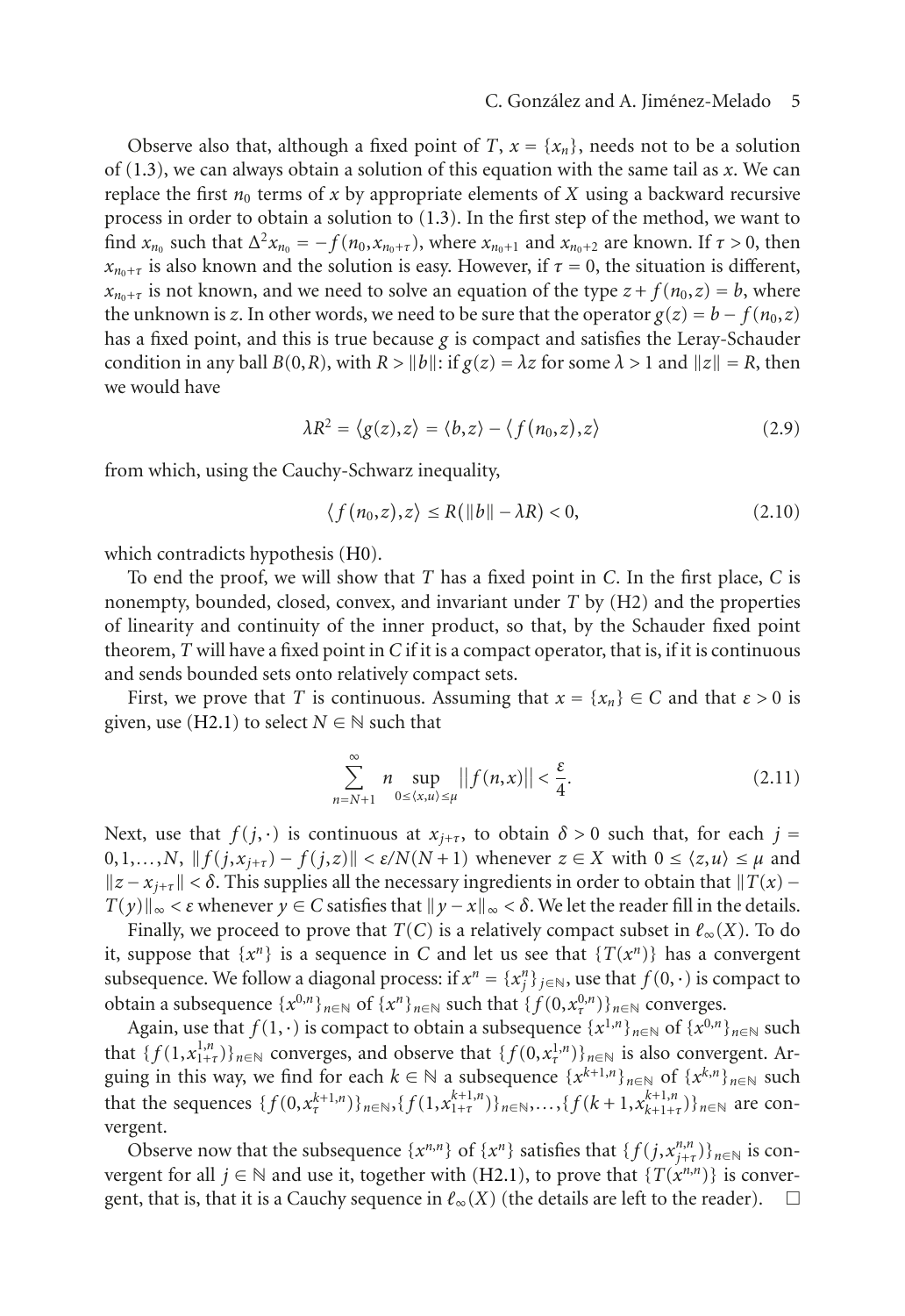Observe also that, although a fixed point of *T*,  $x = \{x_n\}$ , needs not to be a solution of [\(1.3\)](#page-1-0), we can always obtain a solution of this equation with the same tail as *x*. We can replace the first  $n_0$  terms of x by appropriate elements of X using a backward recursive process in order to obtain a solution to [\(1.3\)](#page-1-0). In the first step of the method, we want to find  $x_{n_0}$  such that  $\Delta^2 x_{n_0} = -f(n_0, x_{n_0+\tau})$ , where  $x_{n_0+1}$  and  $x_{n_0+2}$  are known. If  $\tau > 0$ , then  $x_{n_0+\tau}$  is also known and the solution is easy. However, if  $\tau = 0$ , the situation is different,  $x_{n_0+\tau}$  is not known, and we need to solve an equation of the type  $z + f(n_0, z) = b$ , where the unknown is *z*. In other words, we need to be sure that the operator  $g(z) = b - f(n_0, z)$ has a fixed point, and this is true because  $g$  is compact and satisfies the Leray-Schauder condition in any ball  $B(0,R)$ , with  $R > ||b||$ : if  $g(z) = \lambda z$  for some  $\lambda > 1$  and  $||z|| = R$ , then we would have

$$
\lambda R^2 = \langle g(z), z \rangle = \langle b, z \rangle - \langle f(n_0, z), z \rangle \tag{2.9}
$$

from which, using the Cauchy-Schwarz inequality,

$$
\langle f(n_0, z), z \rangle \le R(||b|| - \lambda R) < 0,\tag{2.10}
$$

which contradicts hypothesis [\(H0\)](#page-1-2).

To end the proof, we will show that *T* has a fixed point in *C*. In the first place, *C* is nonempty, bounded, closed, convex, and invariant under *T* by (H2) and the properties of linearity and continuity of the inner product, so that, by the Schauder fixed point theorem, *T* will have a fixed point in *C* if it is a compact operator, that is, if it is continuous and sends bounded sets onto relatively compact sets.

First, we prove that *T* is continuous. Assuming that  $x = \{x_n\} \in C$  and that  $\varepsilon > 0$  is given, use [\(H2.1\)](#page-2-1) to select  $N \in \mathbb{N}$  such that

$$
\sum_{n=N+1}^{\infty} n \sup_{0 \le \langle x, u \rangle \le \mu} ||f(n,x)|| < \frac{\varepsilon}{4}.\tag{2.11}
$$

Next, use that  $f(j, \cdot)$  is continuous at  $x_{j+\tau}$ , to obtain  $\delta > 0$  such that, for each  $j =$  $0,1,...,N$ ,  $|| f(j, x_{j+\tau}) - f(j,z)|| < \varepsilon/N(N+1)$  whenever  $z \in X$  with  $0 \le \langle z, u \rangle \le \mu$  and  $\|z - x_{i+\tau}\| < \delta$ . This supplies all the necessary ingredients in order to obtain that  $\|T(x) - x_{i+\tau}\|$ *T*(*y*)∥<sub>∞</sub> < *ε* whenever *y* ∈ *C* satisfies that  $||y - x||_∞ < δ$ . We let the reader fill in the details.

Finally, we proceed to prove that  $T(C)$  is a relatively compact subset in  $\ell_{\infty}(X)$ . To do it, suppose that  $\{x^n\}$  is a sequence in *C* and let us see that  $\{T(x^n)\}$  has a convergent subsequence. We follow a diagonal process: if  $x^n = \{x_j^n\}_{j \in \mathbb{N}}$ , use that  $f(0, \cdot)$  is compact to obtain a subsequence  $\{x^{0,n}\}\cup\{x^{f(1)}, \dots, x^{(k)}\}$  that  $\{f(0, x^{0,n})\}\cup\{x^{0,n}\}$ obtain a subsequence  $\{x^{0,n}\}_{n\in\mathbb{N}}$  of  $\{x^n\}_{n\in\mathbb{N}}$  such that  $\{f(0,x^{0,n}_t)\}_{n\in\mathbb{N}}$  converges.

Again, use that  $f(1, \cdot)$  is compact to obtain a subsequence  $\{x^{1,n}\}_{n\in\mathbb{N}}$  of  $\{x^{0,n}\}_{n\in\mathbb{N}}$  such that  $\{f(1, x_{1+t}^{1,n})\}_{n \in \mathbb{N}}$  converges, and observe that  $\{f(0, x_{t}^{1,n})\}_{n \in \mathbb{N}}$  is also convergent. Ar-<br>quing in this way we find for each  $k \in \mathbb{N}$  a subsequence  $\{x^{k+1,n}\}_{n \in \mathbb{N}}$  of  $\{x^{k,n}\}_{n \in \mathbb{N}}$  s guing in this way, we find for each  $k \in \mathbb{N}$  a subsequence  $\{x^{k+1,n}\}_{n \in \mathbb{N}}$  of  $\{x^{k,n}\}_{n \in \mathbb{N}}$  such that the sequence  $\{f(0, x^{k+1,n})\}_{n \in \mathbb{N}}$  of  $\{f(k+1, x^{k+1,n})\}_{n \in \mathbb{N}}$  are sen that the sequences  $\{f(0, x_{\tau}^{k+1,n})\}_{n\in\mathbb{N}}, \{f(1, x_{1+\tau}^{k+1,n})\}_{n\in\mathbb{N}}, \ldots, \{f(k+1, x_{k+1+\tau}^{k+1,n})\}_{n\in\mathbb{N}}$  are convergent vergent.

Observe now that the subsequence  $\{x^{n,n}\}$  of  $\{x^n\}$  satisfies that  $\{f(j, x^{n,n}_{j+1})\}_{n\in\mathbb{N}}$  is con-<br>gent for all  $i \in \mathbb{N}$  and use it together with (H2 1) to prove that  $\{T(x^{n,n})\}$  is conververgent for all *j* ∈ N and use it, together with [\(H2.1\)](#page-2-1), to prove that {*T*(*x<sup><i>n*,*n*</sup>)} is convergent, that is, that it is a Cauchy sequence in  $\ell_{\infty}(X)$  (the details are left to the reader).  $\Box$ gent, that is, that it is a Cauchy sequence in  $\ell_{\infty}(X)$  (the details are left to the reader).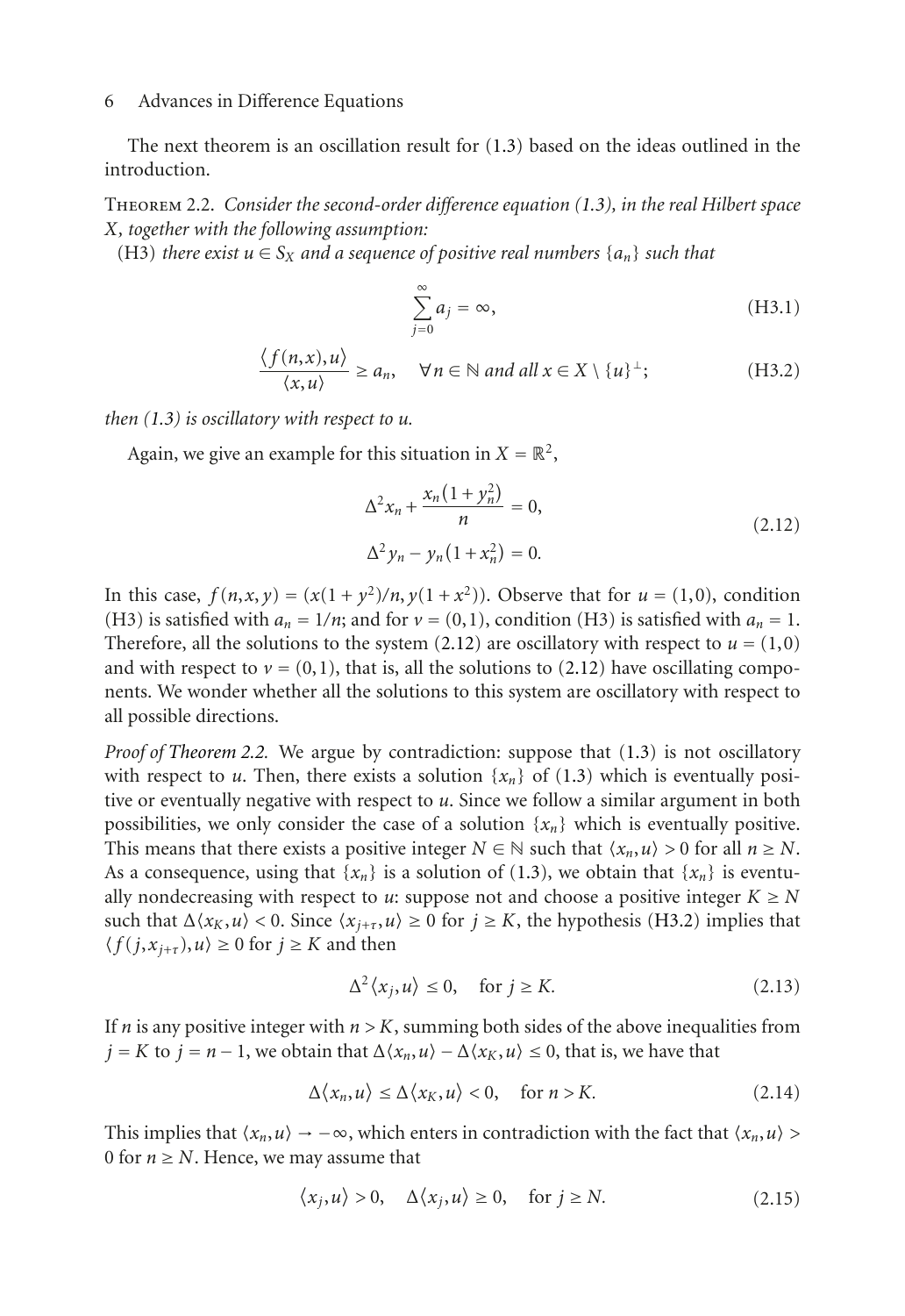<span id="page-5-1"></span>The next theorem is an oscillation result for [\(1.3\)](#page-1-0) based on the ideas outlined in the introduction.

Theorem 2.2. *Consider the second-order difference equation [\(1.3\)](#page-1-0), in the real Hilbert space X, together with the following assumption:*

<span id="page-5-2"></span>(H3) *there exist*  $u \in S_X$  *and a sequence of positive real numbers*  $\{a_n\}$  *such that* 

$$
\sum_{j=0}^{\infty} a_j = \infty, \tag{H3.1}
$$

<span id="page-5-4"></span>
$$
\frac{\langle f(n,x), u \rangle}{\langle x, u \rangle} \ge a_n, \quad \forall n \in \mathbb{N} \text{ and all } x \in X \setminus \{u\}^{\perp};
$$
 (H3.2)

*then [\(1.3\)](#page-1-0) is oscillatory with respect to u.*

Again, we give an example for this situation in  $X = \mathbb{R}^2$ ,

<span id="page-5-0"></span>
$$
\Delta^2 x_n + \frac{x_n (1 + y_n^2)}{n} = 0,
$$
  

$$
\Delta^2 y_n - y_n (1 + x_n^2) = 0.
$$
 (2.12)

In this case,  $f(n, x, y) = (x(1 + y^2)/n, y(1 + x^2))$ . Observe that for  $u = (1, 0)$ , condition (H3) is satisfied with  $a_n = 1/n$ ; and for  $v = (0, 1)$ , condition (H3) is satisfied with  $a_n = 1$ . Therefore, all the solutions to the system  $(2.12)$  are oscillatory with respect to  $u = (1,0)$ and with respect to  $v = (0,1)$ , that is, all the solutions to [\(2.12\)](#page-5-0) have oscillating components. We wonder whether all the solutions to this system are oscillatory with respect to all possible directions.

*Proof of [Theorem 2.2.](#page-5-1)* We argue by contradiction: suppose that [\(1.3\)](#page-1-0) is not oscillatory with respect to *u*. Then, there exists a solution  $\{x_n\}$  of [\(1.3\)](#page-1-0) which is eventually positive or eventually negative with respect to *u*. Since we follow a similar argument in both possibilities, we only consider the case of a solution  $\{x_n\}$  which is eventually positive. This means that there exists a positive integer  $N \in \mathbb{N}$  such that  $\langle x_n, u \rangle > 0$  for all  $n \geq N$ . As a consequence, using that  $\{x_n\}$  is a solution of [\(1.3\)](#page-1-0), we obtain that  $\{x_n\}$  is eventually nondecreasing with respect to *u*: suppose not and choose a positive integer  $K \geq N$ such that  $\Delta \langle x_K, u \rangle < 0$ . Since  $\langle x_{j+\tau}, u \rangle \ge 0$  for  $j \ge K$ , the hypothesis [\(H3.2\)](#page-5-2) implies that  $\langle f(j, x_{j+\tau}), u \rangle \ge 0$  for  $j \ge K$  and then

$$
\Delta^2 \langle x_j, u \rangle \le 0, \quad \text{for } j \ge K. \tag{2.13}
$$

If *n* is any positive integer with  $n > K$ , summing both sides of the above inequalities from *j* = *K* to *j* = *n* − 1, we obtain that  $\Delta \langle x_n, u \rangle - \Delta \langle x_K, u \rangle \le 0$ , that is, we have that

<span id="page-5-3"></span>
$$
\Delta \langle x_n, u \rangle \le \Delta \langle x_K, u \rangle < 0, \quad \text{for } n > K. \tag{2.14}
$$

This implies that  $\langle x_n, u \rangle \rightarrow -\infty$ , which enters in contradiction with the fact that  $\langle x_n, u \rangle$ 0 for  $n \geq N$ . Hence, we may assume that

$$
\langle x_j, u \rangle > 0, \quad \Delta \langle x_j, u \rangle \ge 0, \quad \text{for } j \ge N. \tag{2.15}
$$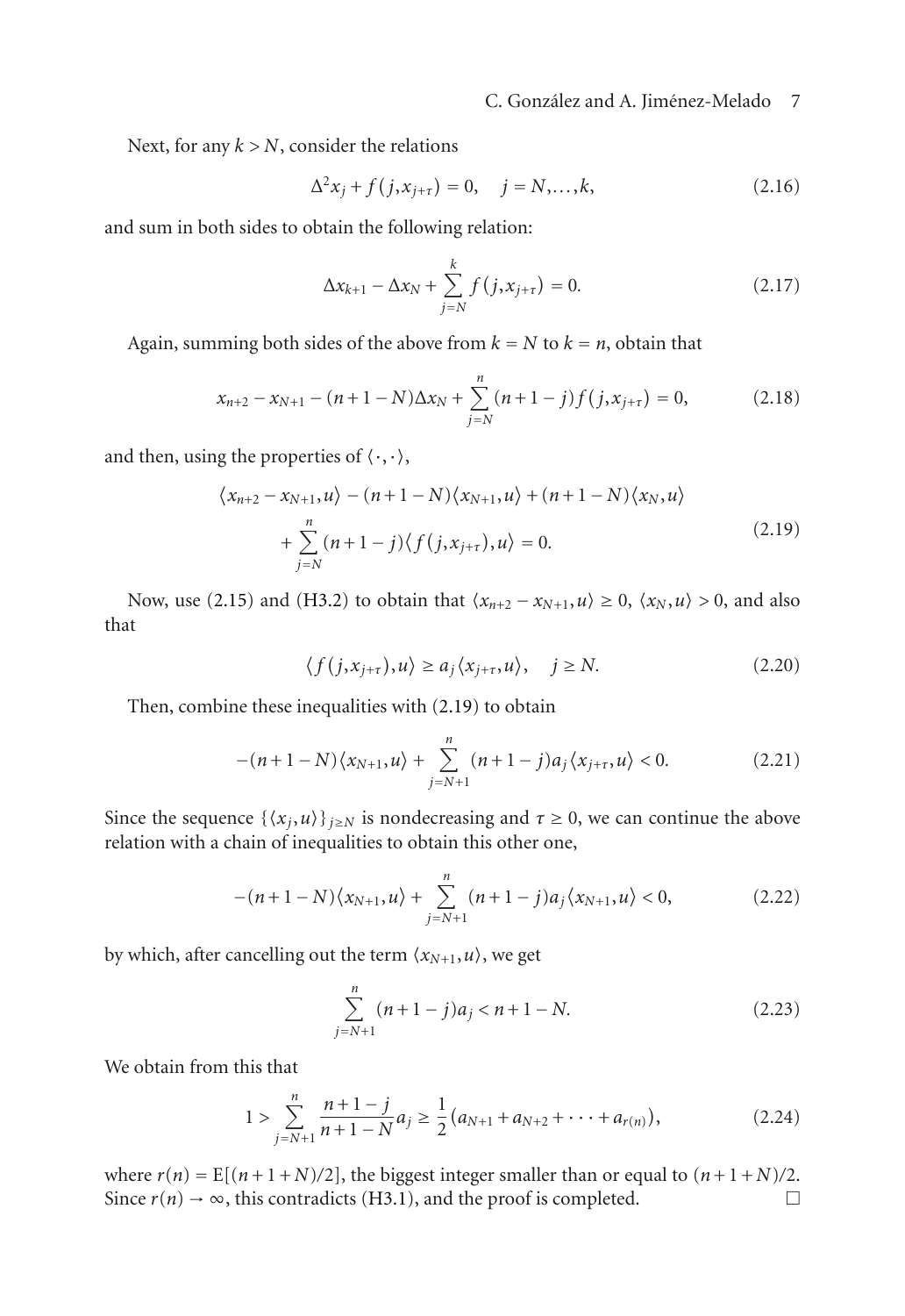## C. González and A. Jiménez-Melado 7

Next, for any *k>N*, consider the relations

$$
\Delta^2 x_j + f(j, x_{j+\tau}) = 0, \quad j = N, ..., k,
$$
\n(2.16)

and sum in both sides to obtain the following relation:

$$
\Delta x_{k+1} - \Delta x_N + \sum_{j=N}^{k} f(j, x_{j+\tau}) = 0.
$$
 (2.17)

Again, summing both sides of the above from  $k = N$  to  $k = n$ , obtain that

$$
x_{n+2} - x_{N+1} - (n+1-N)\Delta x_N + \sum_{j=N}^{n} (n+1-j)f(j, x_{j+\tau}) = 0,
$$
 (2.18)

and then, using the properties of  $\langle \cdot, \cdot \rangle$ ,

$$
\langle x_{n+2} - x_{N+1}, u \rangle - (n+1-N) \langle x_{N+1}, u \rangle + (n+1-N) \langle x_N, u \rangle
$$
  
+ 
$$
\sum_{j=N}^{n} (n+1-j) \langle f(j, x_{j+\tau}), u \rangle = 0.
$$
 (2.19)

Now, use [\(2.15\)](#page-5-3) and [\(H3.2\)](#page-5-2) to obtain that  $\langle x_{n+2} - x_{N+1}, u \rangle \ge 0$ ,  $\langle x_N, u \rangle > 0$ , and also that

<span id="page-6-0"></span>
$$
\langle f(j, x_{j+\tau}), u \rangle \ge a_j \langle x_{j+\tau}, u \rangle, \quad j \ge N. \tag{2.20}
$$

Then, combine these inequalities with [\(2.19\)](#page-6-0) to obtain

$$
-(n+1-N)\langle x_{N+1}, u \rangle + \sum_{j=N+1}^{n} (n+1-j)a_j \langle x_{j+\tau}, u \rangle < 0.
$$
 (2.21)

Since the sequence  $\{\langle x_j, u \rangle\}_{j \geq N}$  is nondecreasing and  $\tau \geq 0$ , we can continue the above relation with a chain of inequalities to obtain this other one,

$$
-(n+1-N)\langle x_{N+1}, u \rangle + \sum_{j=N+1}^{n} (n+1-j)a_j \langle x_{N+1}, u \rangle < 0, \qquad (2.22)
$$

by which, after cancelling out the term  $\langle x_{N+1}, u \rangle$ , we get

$$
\sum_{j=N+1}^{n} (n+1-j)a_j < n+1-N.
$$
 (2.23)

We obtain from this that

$$
1 > \sum_{j=N+1}^{n} \frac{n+1-j}{n+1-N} a_j \ge \frac{1}{2} (a_{N+1} + a_{N+2} + \dots + a_{r(n)}),
$$
 (2.24)

where  $r(n) = E[(n+1+N)/2]$ , the biggest integer smaller than or equal to  $(n+1+N)/2$ .<br>Since  $r(n) \to \infty$ , this contradicts (H3.1), and the proof is completed. Since  $r(n) \rightarrow \infty$ , this contradicts [\(H3.1\)](#page-5-4), and the proof is completed.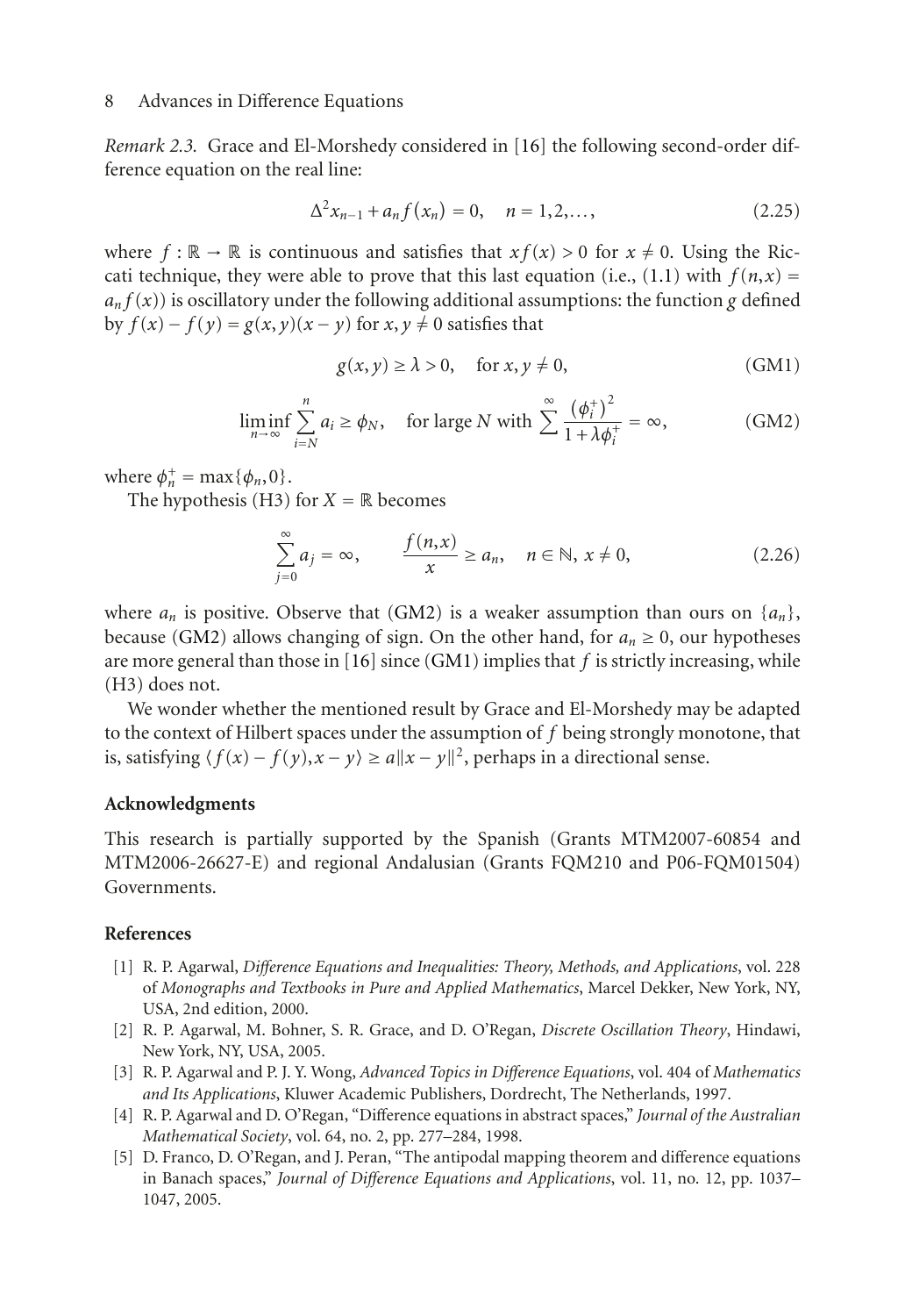*Remark 2.3.* Grace and El-Morshedy considered in [\[16](#page-8-6)] the following second-order difference equation on the real line:

$$
\Delta^2 x_{n-1} + a_n f(x_n) = 0, \quad n = 1, 2, \dots,
$$
\n(2.25)

where  $f : \mathbb{R} \to \mathbb{R}$  is continuous and satisfies that  $xf(x) > 0$  for  $x \neq 0$ . Using the Ric-cati technique, they were able to prove that this last equation (i.e., [\(1.1\)](#page-0-0) with  $f(n, x) =$  $a_n f(x)$  is oscillatory under the following additional assumptions: the function *g* defined by  $f(x) - f(y) = g(x, y)(x - y)$  for  $x, y \neq 0$  satisfies that

$$
g(x, y) \ge \lambda > 0, \quad \text{for } x, y \ne 0,
$$
 (GM1)

<span id="page-7-5"></span>
$$
\liminf_{n \to \infty} \sum_{i=N}^{n} a_i \ge \phi_N, \quad \text{for large } N \text{ with } \sum_{i=1}^{\infty} \frac{(\phi_i^+)^2}{1 + \lambda \phi_i^+} = \infty,
$$
 (GM2)

<span id="page-7-4"></span>where  $\phi_n^+$  = max $\{\phi_n, 0\}$ .<br>The hypothesis (H3)

The hypothesis (H3) for  $X = \mathbb{R}$  becomes

$$
\sum_{j=0}^{\infty} a_j = \infty, \qquad \frac{f(n,x)}{x} \ge a_n, \quad n \in \mathbb{N}, x \ne 0,
$$
\n(2.26)

where  $a_n$  is positive. Observe that [\(GM2\)](#page-7-4) is a weaker assumption than ours on  $\{a_n\}$ , because [\(GM2\)](#page-7-4) allows changing of sign. On the other hand, for  $a_n \ge 0$ , our hypotheses are more general than those in [\[16](#page-8-6)] since [\(GM1\)](#page-7-5) implies that *f* is strictly increasing, while (H3) does not.

We wonder whether the mentioned result by Grace and El-Morshedy may be adapted to the context of Hilbert spaces under the assumption of *f* being strongly monotone, that is, satisfying  $\langle f(x) - f(y), x - y \rangle \ge a ||x - y||^2$ , perhaps in a directional sense.

#### **Acknowledgments**

This research is partially supported by the Spanish (Grants MTM2007-60854 and MTM2006-26627-E) and regional Andalusian (Grants FQM210 and P06-FQM01504) Governments.

### <span id="page-7-1"></span><span id="page-7-0"></span>**References**

- [1] R. P. Agarwal, *Difference Equations and Inequalities: Theory, Methods, and Applications*, vol. 228 of *Monographs and Textbooks in Pure and Applied Mathematics*, Marcel Dekker, New York, NY, USA, 2nd edition, 2000.
- [2] R. P. Agarwal, M. Bohner, S. R. Grace, and D. O'Regan, *Discrete Oscillation Theory*, Hindawi, New York, NY, USA, 2005.
- <span id="page-7-2"></span>[3] R. P. Agarwal and P. J. Y. Wong, *Advanced Topics in Difference Equations*, vol. 404 of *Mathematics and Its Applications*, Kluwer Academic Publishers, Dordrecht, The Netherlands, 1997.
- <span id="page-7-3"></span>[4] R. P. Agarwal and D. O'Regan, "Difference equations in abstract spaces," *Journal of the Australian Mathematical Society*, vol. 64, no. 2, pp. 277–284, 1998.
- [5] D. Franco, D. O'Regan, and J. Peran, "The antipodal mapping theorem and difference equations in Banach spaces," *Journal of Difference Equations and Applications*, vol. 11, no. 12, pp. 1037– 1047, 2005.